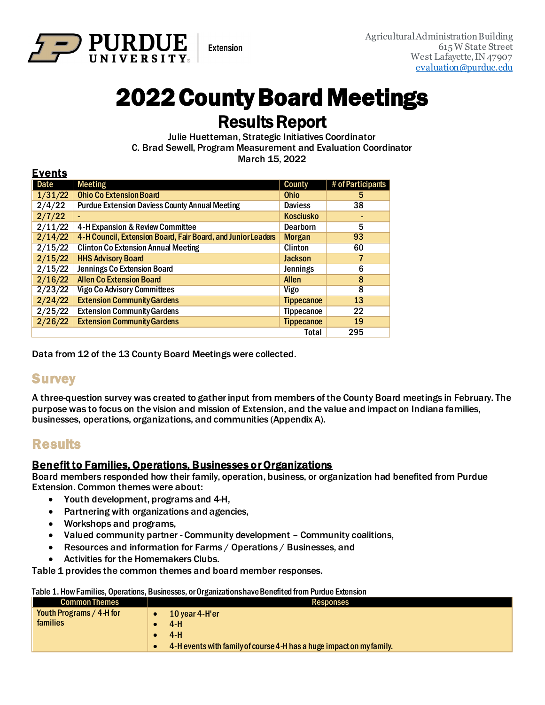

# 2022 County Board Meetings

**Results Report**<br>Julie Huetteman, Strategic Initiatives Coordinator C. Brad Sewell, Program Measurement and Evaluation Coordinator March 15, 2022

#### Events

| -----   |                                                              |                   |                   |
|---------|--------------------------------------------------------------|-------------------|-------------------|
| Date    | <b>Meeting</b>                                               | <b>County</b>     | # of Participants |
| 1/31/22 | <b>Ohio Co Extension Board</b>                               | <b>Ohio</b>       | 5                 |
| 2/4/22  | <b>Purdue Extension Daviess County Annual Meeting</b>        | <b>Daviess</b>    | 38                |
| 2/7/22  |                                                              | <b>Kosciusko</b>  |                   |
| 2/11/22 | 4-H Expansion & Review Committee                             | <b>Dearborn</b>   | 5                 |
| 2/14/22 | 4-H Council, Extension Board, Fair Board, and Junior Leaders | <b>Morgan</b>     | 93                |
| 2/15/22 | <b>Clinton Co Extension Annual Meeting</b>                   | <b>Clinton</b>    | 60                |
| 2/15/22 | <b>HHS Advisory Board</b>                                    | <b>Jackson</b>    |                   |
| 2/15/22 | Jennings Co Extension Board                                  | <b>Jennings</b>   | 6                 |
| 2/16/22 | <b>Allen Co Extension Board</b>                              | <b>Allen</b>      | 8                 |
| 2/23/22 | <b>Vigo Co Advisory Committees</b>                           | Vigo              | 8                 |
| 2/24/22 | <b>Extension Community Gardens</b>                           | <b>Tippecanoe</b> | 13                |
| 2/25/22 | <b>Extension Community Gardens</b>                           | <b>Tippecanoe</b> | 22                |
| 2/26/22 | <b>Extension Community Gardens</b>                           | <b>Tippecanoe</b> | 19                |
|         |                                                              | <b>Total</b>      | 295               |

**Extension** 

Data from 12 of the 13 County Board Meetings were collected.

# **Survey**

A three-question survey was created to gather input from members of the County Board meetings in February. The purpose was to focus on the vision and mission of Extension, and the value and impact on Indiana families, businesses, operations, organizations, and communities (Appendix A).

# **Results**

#### Benefit to Families, Operations, Businesses or Organizations

Board members responded how their family, operation, business, or organization had benefited from Purdue Extension. Common themes were about:

- Youth development, programs and 4-H,
- Partnering with organizations and agencies,
- Workshops and programs,
- Valued community partner Community development Community coalitions,
- Resources and information for Farms / Operations / Businesses, and
- Activities for the Homemakers Clubs.

Table 1 provides the common themes and board member responses.

|  |  |  |  |  |  |  | Table 1. How Families, Operations, Businesses, or Organizations have Benefited from Purdue Extension |
|--|--|--|--|--|--|--|------------------------------------------------------------------------------------------------------|
|--|--|--|--|--|--|--|------------------------------------------------------------------------------------------------------|

| <b>Common Themes</b>     | Responses                                                            |
|--------------------------|----------------------------------------------------------------------|
| Youth Programs / 4-H for | 10 year 4-H'er                                                       |
| families                 | $4-H$                                                                |
|                          | $4-H$                                                                |
|                          | 4-H events with family of course 4-H has a huge impact on my family. |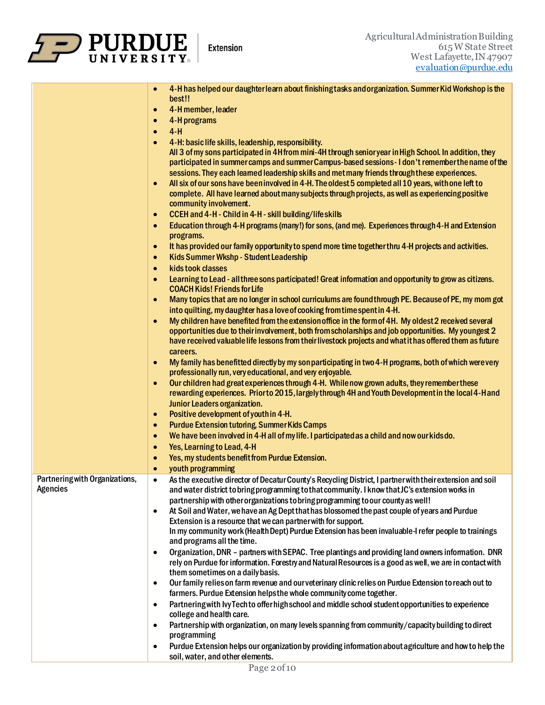

|                                | 4-H has helped our daughter learn about finishing tasks and organization. Summer Kid Workshop is the                                                                                      |
|--------------------------------|-------------------------------------------------------------------------------------------------------------------------------------------------------------------------------------------|
|                                | best!!                                                                                                                                                                                    |
|                                | 4-H member, leader<br>$\bullet$                                                                                                                                                           |
|                                | 4-H programs<br>$\bullet$                                                                                                                                                                 |
|                                | $4 - H$<br>$\bullet$                                                                                                                                                                      |
|                                | 4-H: basic life skills, leadership, responsibility.                                                                                                                                       |
|                                | All 3 of my sons participated in 4H from mini-4H through senioryear in High School. In addition, they                                                                                     |
|                                | participated in summer camps and summer Campus-based sessions - I don't remember the name of the                                                                                          |
|                                | sessions. They each learned leadership skills and met many friends through these experiences.                                                                                             |
|                                | All six of our sons have been involved in 4-H. The oldest 5 completed all 10 years, with one left to                                                                                      |
|                                | complete. All have learned about many subjects through projects, as well as experiencing positive                                                                                         |
|                                | community involvement.                                                                                                                                                                    |
|                                | CCEH and 4-H - Child in 4-H - skill building/life skills<br>$\bullet$                                                                                                                     |
|                                | Education through 4-H programs (many!) for sons, (and me). Experiences through 4-H and Extension<br>$\bullet$                                                                             |
|                                | programs.                                                                                                                                                                                 |
|                                | It has provided our family opportunity to spend more time together thru 4-H projects and activities.<br>$\bullet$                                                                         |
|                                | Kids Summer Wkshp - Student Leadership<br>$\bullet$                                                                                                                                       |
|                                | kids took classes<br>$\bullet$                                                                                                                                                            |
|                                | Learning to Lead - all three sons participated! Great information and opportunity to grow as citizens.<br>$\bullet$<br><b>COACH Kids! Friends for Life</b>                                |
|                                | Many topics that are no longer in school curriculums are found through PE. Because of PE, my mom got<br>$\bullet$                                                                         |
|                                | into quilting, my daughter has a love of cooking from time spent in 4-H.                                                                                                                  |
|                                | My children have benefited from the extension office in the form of 4H. My oldest 2 received several<br>$\bullet$                                                                         |
|                                | opportunities due to their involvement, both from scholarships and job opportunities. My youngest 2                                                                                       |
|                                | have received valuable life lessons from their livestock projects and what it has offered them as future                                                                                  |
|                                | careers.                                                                                                                                                                                  |
|                                | My family has benefitted directly by my son participating in two 4-H programs, both of which were very<br>$\bullet$                                                                       |
|                                | professionally run, very educational, and very enjoyable.                                                                                                                                 |
|                                | Our children had great experiences through 4-H. While now grown adults, they remember these<br>$\bullet$                                                                                  |
|                                | rewarding experiences. Priorto 2015, largely through 4H and Youth Development in the local 4-H and                                                                                        |
|                                | Junior Leaders organization.                                                                                                                                                              |
|                                | Positive development of youth in 4-H.<br>$\bullet$                                                                                                                                        |
|                                | <b>Purdue Extension tutoring, Summer Kids Camps</b><br>$\bullet$                                                                                                                          |
|                                | We have been involved in 4-H all of my life. I participated as a child and now our kids do.<br>$\bullet$                                                                                  |
|                                | Yes, Learning to Lead, 4-H<br>$\bullet$                                                                                                                                                   |
|                                | Yes, my students benefit from Purdue Extension.<br>$\bullet$                                                                                                                              |
|                                | youth programming<br>$\bullet$                                                                                                                                                            |
| Partnering with Organizations, | As the executive director of Decatur County's Recycling District, I partner with their extension and soil<br>$\bullet$                                                                    |
| <b>Agencies</b>                | and water district to bring programming to that community. I know that JC's extension works in                                                                                            |
|                                | partnership with other organizations to bring programming to our county as well!                                                                                                          |
|                                | At Soil and Water, we have an Ag Dept that has blossomed the past couple of years and Purdue                                                                                              |
|                                | Extension is a resource that we can partner with for support.                                                                                                                             |
|                                | In my community work (Health Dept) Purdue Extension has been invaluable-I refer people to trainings                                                                                       |
|                                | and programs all the time.                                                                                                                                                                |
|                                | Organization, DNR - partners with SEPAC. Tree plantings and providing land owners information. DNR<br>$\bullet$                                                                           |
|                                | rely on Purdue for information. Forestry and Natural Resources is a good as well, we are in contact with<br>them sometimes on a daily basis.                                              |
|                                |                                                                                                                                                                                           |
|                                | Our family relies on farm revenue and our veterinary clinic relies on Purdue Extension to reach out to<br>$\bullet$<br>farmers. Purdue Extension helps the whole community come together. |
|                                | Partnering with lvy Tech to offer high school and middle school student opportunities to experience<br>$\bullet$                                                                          |
|                                | college and health care.                                                                                                                                                                  |
|                                | Partnership with organization, on many levels spanning from community/capacity building to direct<br>$\bullet$                                                                            |
|                                | programming                                                                                                                                                                               |
|                                | Purdue Extension helps our organization by providing information about agriculture and how to help the<br>$\bullet$                                                                       |
|                                | soil, water, and other elements.                                                                                                                                                          |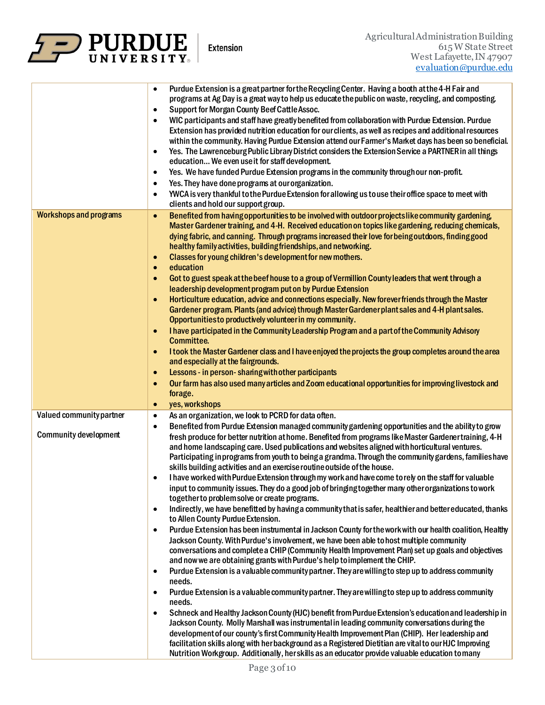

|                               | Purdue Extension is a great partner for the Recycling Center. Having a booth at the 4-H Fair and<br>$\bullet$<br>programs at Ag Day is a great way to help us educate the public on waste, recycling, and composting.<br>Support for Morgan County Beef Cattle Assoc.<br>$\bullet$<br>WIC participants and staff have greatly benefited from collaboration with Purdue Extension. Purdue<br>$\bullet$<br>Extension has provided nutrition education for our clients, as well as recipes and additional resources<br>within the community. Having Purdue Extension attend our Farmer's Market days has been so beneficial.<br>Yes. The Lawrenceburg Public Library District considers the Extension Service a PARTNER in all things<br>$\bullet$<br>education We even use it for staff development.<br>Yes. We have funded Purdue Extension programs in the community through our non-profit.<br>$\bullet$<br>Yes. They have done programs at our organization.<br>$\bullet$<br>YWCA is very thankful to the Purdue Extension for allowing us to use their office space to meet with<br>$\bullet$<br>clients and hold our support group. |
|-------------------------------|-----------------------------------------------------------------------------------------------------------------------------------------------------------------------------------------------------------------------------------------------------------------------------------------------------------------------------------------------------------------------------------------------------------------------------------------------------------------------------------------------------------------------------------------------------------------------------------------------------------------------------------------------------------------------------------------------------------------------------------------------------------------------------------------------------------------------------------------------------------------------------------------------------------------------------------------------------------------------------------------------------------------------------------------------------------------------------------------------------------------------------------------|
| <b>Workshops and programs</b> | Benefited from having opportunities to be involved with outdoor projects like community gardening,<br>$\bullet$<br>Master Gardener training, and 4-H. Received education on topics like gardening, reducing chemicals,<br>dying fabric, and canning. Through programs increased their love for being outdoors, finding good<br>healthy family activities, building friendships, and networking.<br>Classes for young children's development for new mothers.<br>$\bullet$<br>education<br>$\bullet$<br>Got to guest speak at the beef house to a group of Vermillion County leaders that went through a<br>$\bullet$                                                                                                                                                                                                                                                                                                                                                                                                                                                                                                                    |
|                               | leadership development program put on by Purdue Extension<br>Horticulture education, advice and connections especially. New forever friends through the Master<br>$\bullet$<br>Gardener program. Plants (and advice) through Master Gardener plant sales and 4-H plant sales.<br>Opportunities to productively volunteer in my community.                                                                                                                                                                                                                                                                                                                                                                                                                                                                                                                                                                                                                                                                                                                                                                                               |
|                               | I have participated in the Community Leadership Program and a part of the Community Advisory<br>$\bullet$<br><b>Committee.</b><br>I took the Master Gardener class and I have enjoyed the projects the group completes around the area<br>$\bullet$<br>and especially at the fairgrounds.                                                                                                                                                                                                                                                                                                                                                                                                                                                                                                                                                                                                                                                                                                                                                                                                                                               |
|                               | Lessons - in person-sharing with other participants<br>$\bullet$                                                                                                                                                                                                                                                                                                                                                                                                                                                                                                                                                                                                                                                                                                                                                                                                                                                                                                                                                                                                                                                                        |
|                               | Our farm has also used many articles and Zoom educational opportunities for improving livestock and<br>$\bullet$<br>forage.                                                                                                                                                                                                                                                                                                                                                                                                                                                                                                                                                                                                                                                                                                                                                                                                                                                                                                                                                                                                             |
|                               | yes, workshops<br>$\bullet$                                                                                                                                                                                                                                                                                                                                                                                                                                                                                                                                                                                                                                                                                                                                                                                                                                                                                                                                                                                                                                                                                                             |
| Valued community partner      | As an organization, we look to PCRD for data often.<br>$\bullet$                                                                                                                                                                                                                                                                                                                                                                                                                                                                                                                                                                                                                                                                                                                                                                                                                                                                                                                                                                                                                                                                        |
| <b>Community development</b>  | Benefited from Purdue Extension managed community gardening opportunities and the ability to grow<br>$\bullet$<br>fresh produce for better nutrition at home. Benefited from programs like Master Gardener training, 4-H<br>and home landscaping care. Used publications and websites aligned with horticultural ventures.<br>Participating in programs from youth to being a grandma. Through the community gardens, families have<br>skills building activities and an exercise routine outside of the house.                                                                                                                                                                                                                                                                                                                                                                                                                                                                                                                                                                                                                         |
|                               | I have worked with Purdue Extension through my work and have come to rely on the staff for valuable<br>٠                                                                                                                                                                                                                                                                                                                                                                                                                                                                                                                                                                                                                                                                                                                                                                                                                                                                                                                                                                                                                                |
|                               | input to community issues. They do a good job of bringing together many other organizations to work<br>together to problem solve or create programs.                                                                                                                                                                                                                                                                                                                                                                                                                                                                                                                                                                                                                                                                                                                                                                                                                                                                                                                                                                                    |
|                               | Indirectly, we have benefitted by having a community that is safer, healthier and better educated, thanks<br>$\bullet$<br>to Allen County Purdue Extension.                                                                                                                                                                                                                                                                                                                                                                                                                                                                                                                                                                                                                                                                                                                                                                                                                                                                                                                                                                             |
|                               | Purdue Extension has been instrumental in Jackson County for the work with our health coalition, Healthy<br>$\bullet$<br>Jackson County. With Purdue's involvement, we have been able to host multiple community<br>conversations and complete a CHIP (Community Health Improvement Plan) set up goals and objectives<br>and now we are obtaining grants with Purdue's help to implement the CHIP.                                                                                                                                                                                                                                                                                                                                                                                                                                                                                                                                                                                                                                                                                                                                      |
|                               | Purdue Extension is a valuable community partner. They are willing to step up to address community<br>$\bullet$                                                                                                                                                                                                                                                                                                                                                                                                                                                                                                                                                                                                                                                                                                                                                                                                                                                                                                                                                                                                                         |
|                               | needs.<br>Purdue Extension is a valuable community partner. They are willing to step up to address community<br>$\bullet$                                                                                                                                                                                                                                                                                                                                                                                                                                                                                                                                                                                                                                                                                                                                                                                                                                                                                                                                                                                                               |
|                               | needs.                                                                                                                                                                                                                                                                                                                                                                                                                                                                                                                                                                                                                                                                                                                                                                                                                                                                                                                                                                                                                                                                                                                                  |
|                               | Schneck and Healthy Jackson County (HJC) benefit from Purdue Extension's education and leadership in<br>$\bullet$<br>Jackson County. Molly Marshall was instrumental in leading community conversations during the                                                                                                                                                                                                                                                                                                                                                                                                                                                                                                                                                                                                                                                                                                                                                                                                                                                                                                                      |
|                               | development of our county's first Community Health Improvement Plan (CHIP). Her leadership and                                                                                                                                                                                                                                                                                                                                                                                                                                                                                                                                                                                                                                                                                                                                                                                                                                                                                                                                                                                                                                          |
|                               | facilitation skills along with her background as a Registered Dietitian are vital to our HJC Improving<br>Nutrition Workgroup. Additionally, herskills as an educator provide valuable education to many                                                                                                                                                                                                                                                                                                                                                                                                                                                                                                                                                                                                                                                                                                                                                                                                                                                                                                                                |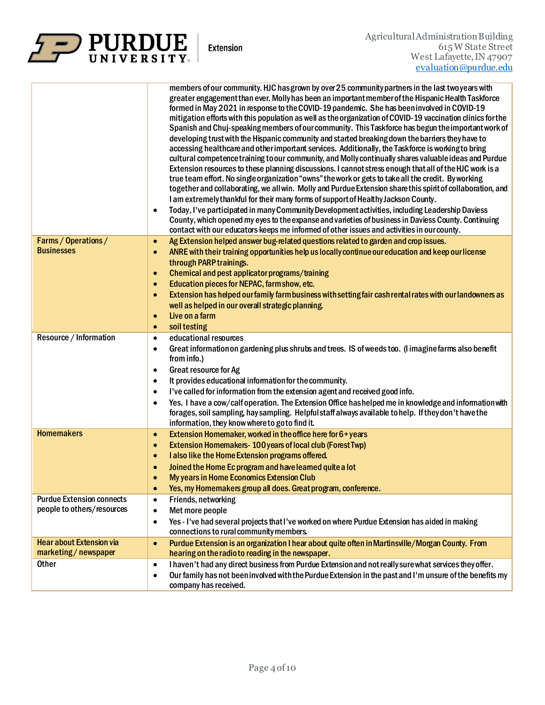

**Extension** 

|                                                                | members of our community. HJC has grown by over 25 community partners in the last two years with<br>greater engagement than ever. Molly has been an important member of the Hispanic Health Taskforce<br>formed in May 2021 in response to the COVID-19 pandemic. She has been involved in COVID-19<br>mitigation efforts with this population as well as the organization of COVID-19 vaccination clinics for the<br>Spanish and Chuj-speaking members of our community. This Taskforce has begun the important work of<br>developing trust with the Hispanic community and started breaking down the barriers they have to<br>accessing healthcare and other important services. Additionally, the Taskforce is working to bring<br>cultural competence training to our community, and Molly continually shares valuable ideas and Purdue<br>Extension resources to these planning discussions. I cannot stress enough that all of the HJC work is a<br>true team effort. No single organization "owns" the work or gets to take all the credit. By working<br>together and collaborating, we all win. Molly and Purdue Extension share this spirit of collaboration, and<br>I am extremely thankful for their many forms of support of Healthy Jackson County.<br>Today, I've participated in many Community Development activities, including Leadership Daviess<br>$\bullet$<br>County, which opened my eyes to the expanse and varieties of business in Daviess County. Continuing<br>contact with our educators keeps me informed of other issues and activities in our county. |
|----------------------------------------------------------------|----------------------------------------------------------------------------------------------------------------------------------------------------------------------------------------------------------------------------------------------------------------------------------------------------------------------------------------------------------------------------------------------------------------------------------------------------------------------------------------------------------------------------------------------------------------------------------------------------------------------------------------------------------------------------------------------------------------------------------------------------------------------------------------------------------------------------------------------------------------------------------------------------------------------------------------------------------------------------------------------------------------------------------------------------------------------------------------------------------------------------------------------------------------------------------------------------------------------------------------------------------------------------------------------------------------------------------------------------------------------------------------------------------------------------------------------------------------------------------------------------------------------------------------------------------------------------------------|
| Farms / Operations /<br><b>Businesses</b>                      | Ag Extension helped answer bug-related questions related to garden and crop issues.<br>$\bullet$<br>ANRE with their training opportunities help us locally continue our education and keep our license<br>$\bullet$<br>through PARP trainings.<br>Chemical and pest applicator programs/training<br>$\bullet$<br>Education pieces for NEPAC, farm show, etc.<br>$\bullet$<br>Extension has helped our family farm business with setting fair cash rental rates with our landowners as<br>$\bullet$<br>well as helped in our overall strategic planning.<br>Live on a farm<br>$\bullet$<br>soil testing<br>$\bullet$                                                                                                                                                                                                                                                                                                                                                                                                                                                                                                                                                                                                                                                                                                                                                                                                                                                                                                                                                                    |
| Resource / Information                                         | educational resources<br>$\bullet$<br>Great information on gardening plus shrubs and trees. IS of weeds too. (I imagine farms also benefit<br>٠<br>from info.)<br>Great resource for Ag<br>$\bullet$<br>It provides educational information for the community.<br>٠<br>I've called for information from the extension agent and received good info.<br>$\bullet$<br>Yes. I have a cow/calf operation. The Extension Office hashelped me in knowledge and information with<br>٠<br>forages, soil sampling, hay sampling. Helpful staff always available to help. If they don't have the<br>information, they know where to goto find it.                                                                                                                                                                                                                                                                                                                                                                                                                                                                                                                                                                                                                                                                                                                                                                                                                                                                                                                                                |
| <b>Homemakers</b>                                              | Extension Homemaker, worked in the office here for 6+years<br>$\bullet$<br>Extension Homemakers-100 years of local club (Forest Twp)<br>$\bullet$<br>I also like the Home Extension programs offered.<br>$\bullet$<br>Joined the Home Ec program and have leamed quite a lot<br>$\bullet$<br>My years in Home Economics Extension Club<br>Yes, my Homemakers group all does. Great program, conference.<br>$\bullet$                                                                                                                                                                                                                                                                                                                                                                                                                                                                                                                                                                                                                                                                                                                                                                                                                                                                                                                                                                                                                                                                                                                                                                   |
| <b>Purdue Extension connects</b><br>people to others/resources | Friends, networking<br>$\bullet$<br>Met more people<br>$\bullet$<br>Yes - I've had several projects that I've worked on where Purdue Extension has aided in making<br>$\bullet$<br>connections to rural community members.                                                                                                                                                                                                                                                                                                                                                                                                                                                                                                                                                                                                                                                                                                                                                                                                                                                                                                                                                                                                                                                                                                                                                                                                                                                                                                                                                             |
| <b>Hear about Extension via</b><br>marketing/newspaper         | Purdue Extension is an organization I hear about quite often in Martinsville/Morgan County. From<br>$\bullet$<br>hearing on the radio to reading in the newspaper.                                                                                                                                                                                                                                                                                                                                                                                                                                                                                                                                                                                                                                                                                                                                                                                                                                                                                                                                                                                                                                                                                                                                                                                                                                                                                                                                                                                                                     |
| <b>Other</b>                                                   | I haven't had any direct business from Purdue Extension and not really sure what services they offer.<br>$\bullet$<br>Our family has not been involved with the Purdue Extension in the past and I'm unsure of the benefits my<br>$\bullet$<br>company has received.                                                                                                                                                                                                                                                                                                                                                                                                                                                                                                                                                                                                                                                                                                                                                                                                                                                                                                                                                                                                                                                                                                                                                                                                                                                                                                                   |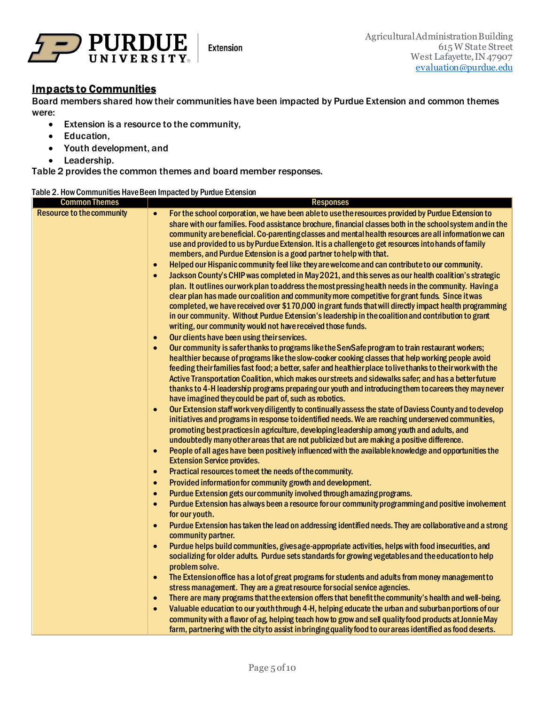

#### Impacts to Communities

Board members shared how their communities have been impacted by Purdue Extension and common themes were:

- Extension is a resource to the community,
- Education,
- Youth development, and
- Leadership.

Table 2 provides the common themes and board member responses.

#### Table 2. How Communities Have Been Impacted by Purdue Extension

| <b>Common Themes</b>             | <b>Responses</b>                                                                                                                                                                                                                                                                                                                                                                                                                                                                                                                                                                                                                                                                                                                                                                                                                                                                                                                                                                                                                                                                                                                                                                                                                               |
|----------------------------------|------------------------------------------------------------------------------------------------------------------------------------------------------------------------------------------------------------------------------------------------------------------------------------------------------------------------------------------------------------------------------------------------------------------------------------------------------------------------------------------------------------------------------------------------------------------------------------------------------------------------------------------------------------------------------------------------------------------------------------------------------------------------------------------------------------------------------------------------------------------------------------------------------------------------------------------------------------------------------------------------------------------------------------------------------------------------------------------------------------------------------------------------------------------------------------------------------------------------------------------------|
| <b>Resource to the community</b> | For the school corporation, we have been able to use the resources provided by Purdue Extension to<br>$\bullet$<br>share with our families. Food assistance brochure, financial classes both in the school system and in the<br>community are beneficial. Co-parenting classes and mental health resources are all information we can<br>use and provided to us by Purdue Extension. It is a challenge to get resources into hands of family<br>members, and Purdue Extension is a good partner to help with that.<br>Helped our Hispanic community feel like they are welcome and can contribute to our community.<br>$\bullet$<br>Jackson County's CHIP was completed in May 2021, and this serves as our health coalition's strategic<br>$\bullet$<br>plan. It outlines our work plan to address the most pressing health needs in the community. Having a<br>clear plan has made our coalition and community more competitive for grant funds. Since it was<br>completed, we have received over \$170,000 in grant funds that will directly impact health programming<br>in our community. Without Purdue Extension's leadership in the coalition and contribution to grant<br>writing, our community would not have received those funds. |
|                                  | Our clients have been using their services.<br>$\bullet$<br>Our community is safer thanks to programs like the ServSafe program to train restaurant workers;<br>$\bullet$<br>healthier because of programs like the slow-cooker cooking classes that help working people avoid<br>feeding their families fast food; a better, safer and healthier place to live thanks to their work with the<br>Active Transportation Coalition, which makes our streets and sidewalks safer, and has a better future<br>thanks to 4-H leadership programs preparing our youth and introducing them to careers they may never<br>have imagined they could be part of, such as robotics.                                                                                                                                                                                                                                                                                                                                                                                                                                                                                                                                                                       |
|                                  | Our Extension staff work very diligently to continually assess the state of Daviess County and to develop<br>$\bullet$<br>initiatives and programs in response to identified needs. We are reaching underserved communities,<br>promoting best practices in agriculture, developing leadership among youth and adults, and<br>undoubtedly many other areas that are not publicized but are making a positive difference.<br>People of all ages have been positively influenced with the available knowledge and opportunities the<br>$\bullet$<br><b>Extension Service provides.</b>                                                                                                                                                                                                                                                                                                                                                                                                                                                                                                                                                                                                                                                           |
|                                  | Practical resources to meet the needs of the community.<br>$\bullet$                                                                                                                                                                                                                                                                                                                                                                                                                                                                                                                                                                                                                                                                                                                                                                                                                                                                                                                                                                                                                                                                                                                                                                           |
|                                  | Provided information for community growth and development.<br>$\bullet$                                                                                                                                                                                                                                                                                                                                                                                                                                                                                                                                                                                                                                                                                                                                                                                                                                                                                                                                                                                                                                                                                                                                                                        |
|                                  | Purdue Extension gets our community involved through amazing programs.<br>$\bullet$<br>Purdue Extension has always been a resource for our community programming and positive involvement<br>$\bullet$<br>for our youth.                                                                                                                                                                                                                                                                                                                                                                                                                                                                                                                                                                                                                                                                                                                                                                                                                                                                                                                                                                                                                       |
|                                  | Purdue Extension has taken the lead on addressing identified needs. They are collaborative and a strong<br>$\bullet$<br>community partner.                                                                                                                                                                                                                                                                                                                                                                                                                                                                                                                                                                                                                                                                                                                                                                                                                                                                                                                                                                                                                                                                                                     |
|                                  | Purdue helps build communities, gives age-appropriate activities, helps with food insecurities, and<br>$\bullet$<br>socializing for older adults. Purdue sets standards for growing vegetables and the education to help<br>problem solve.                                                                                                                                                                                                                                                                                                                                                                                                                                                                                                                                                                                                                                                                                                                                                                                                                                                                                                                                                                                                     |
|                                  | The Extension office has a lot of great programs for students and adults from money management to<br>$\bullet$<br>stress management. They are a great resource for social service agencies.                                                                                                                                                                                                                                                                                                                                                                                                                                                                                                                                                                                                                                                                                                                                                                                                                                                                                                                                                                                                                                                    |
|                                  | There are many programs that the extension offers that benefit the community's health and well-being.<br>$\bullet$<br>Valuable education to our youth through 4-H, helping educate the urban and suburban portions of our<br>$\bullet$<br>community with a flavor of ag, helping teach how to grow and sell quality food products at Jonnie May                                                                                                                                                                                                                                                                                                                                                                                                                                                                                                                                                                                                                                                                                                                                                                                                                                                                                                |
|                                  | farm, partnering with the city to assist in bringing quality food to our areas identified as food deserts.                                                                                                                                                                                                                                                                                                                                                                                                                                                                                                                                                                                                                                                                                                                                                                                                                                                                                                                                                                                                                                                                                                                                     |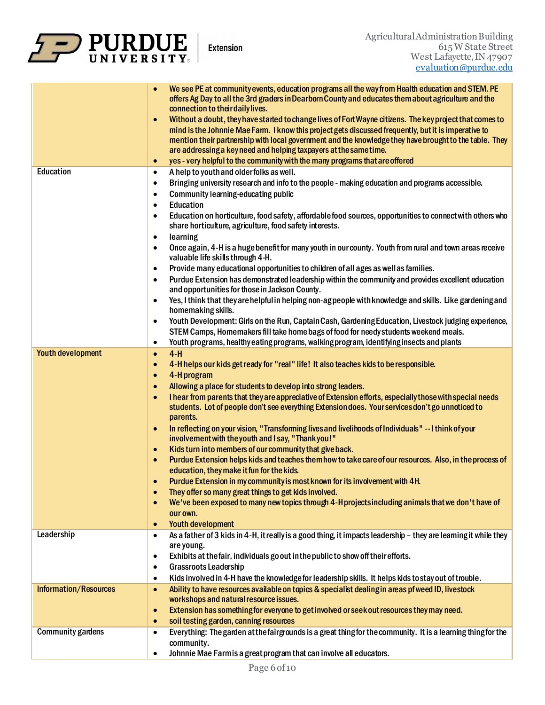

|                              | We see PE at community events, education programs all the way from Health education and STEM. PE                                                                                                                          |
|------------------------------|---------------------------------------------------------------------------------------------------------------------------------------------------------------------------------------------------------------------------|
|                              | offers Ag Day to all the 3rd graders in Dearborn County and educates them about agriculture and the<br>connection to their daily lives.                                                                                   |
|                              | Without a doubt, they have started to change lives of Fort Wayne citizens. The key project that comes to<br>$\bullet$                                                                                                     |
|                              | mind is the Johnnie Mae Farm. I know this project gets discussed frequently, but it is imperative to                                                                                                                      |
|                              | mention their partnership with local government and the knowledge they have brought to the table. They                                                                                                                    |
|                              | are addressing a key need and helping taxpayers at the same time.                                                                                                                                                         |
|                              | yes - very helpful to the community with the many programs that are offered<br>$\bullet$                                                                                                                                  |
| Education                    | A help to youth and older folks as well.<br>$\bullet$                                                                                                                                                                     |
|                              | Bringing university research and info to the people - making education and programs accessible.<br>$\bullet$                                                                                                              |
|                              | Community learning-educating public<br>$\bullet$                                                                                                                                                                          |
|                              | Education<br>$\bullet$                                                                                                                                                                                                    |
|                              | Education on horticulture, food safety, affordable food sources, opportunities to connect with others who<br>$\bullet$                                                                                                    |
|                              | share horticulture, agriculture, food safety interests.                                                                                                                                                                   |
|                              | learning<br>$\bullet$                                                                                                                                                                                                     |
|                              | Once again, 4-H is a huge benefit for many youth in our county. Youth from rural and town areas receive<br>$\bullet$                                                                                                      |
|                              | valuable life skills through 4-H.<br>Provide many educational opportunities to children of all ages as well as families.<br>$\bullet$                                                                                     |
|                              | Purdue Extension has demonstrated leadership within the community and provides excellent education<br>$\bullet$                                                                                                           |
|                              | and opportunities for those in Jackson County.                                                                                                                                                                            |
|                              | Yes, I think that they are helpful in helping non-agpeople with knowledge and skills. Like gardening and<br>$\bullet$                                                                                                     |
|                              | homemaking skills.<br>Youth Development: Girls on the Run, Captain Cash, Gardening Education, Livestock judging experience,<br>$\bullet$                                                                                  |
|                              | STEM Camps, Homemakers fill take home bags of food for needy students weekend meals.                                                                                                                                      |
|                              | Youth programs, healthy eating programs, walking program, identifying insects and plants<br>$\bullet$                                                                                                                     |
| <b>Youth development</b>     | $4-H$<br>$\bullet$                                                                                                                                                                                                        |
|                              | 4-H helps our kids get ready for "real" life! It also teaches kids to be responsible.<br>$\bullet$                                                                                                                        |
|                              | 4-H program<br>$\bullet$                                                                                                                                                                                                  |
|                              | Allowing a place for students to develop into strong leaders.<br>$\bullet$                                                                                                                                                |
|                              |                                                                                                                                                                                                                           |
|                              |                                                                                                                                                                                                                           |
|                              | I hear from parents that they are appreciative of Extension efforts, especially those with special needs<br>$\bullet$<br>students. Lot of people don't see everything Extension does. Your services don't go unnoticed to |
|                              | parents.                                                                                                                                                                                                                  |
|                              | In reflecting on your vision, "Transforming lives and livelihoods of Individuals" -- I think of your<br>$\bullet$                                                                                                         |
|                              | involvement with the youth and I say, "Thank you!"<br>$\bullet$                                                                                                                                                           |
|                              | Kids turn into members of our community that give back.<br>Purdue Extension helps kids and teaches them how to take care of our resources. Also, in the process of<br>$\bullet$                                           |
|                              | education, they make it fun for the kids.                                                                                                                                                                                 |
|                              | Purdue Extension in my community is most known for its involvement with 4H.                                                                                                                                               |
|                              | They offer so many great things to get kids involved.<br>$\bullet$                                                                                                                                                        |
|                              | We've been exposed to many new topics through 4-H projects including animals that we don't have of<br>$\bullet$                                                                                                           |
|                              | our own.                                                                                                                                                                                                                  |
|                              | <b>Youth development</b><br>$\bullet$                                                                                                                                                                                     |
| Leadership                   | As a father of 3 kids in 4-H, it really is a good thing, it impacts leadership - they are leaming it while they<br>٠                                                                                                      |
|                              | are young.                                                                                                                                                                                                                |
|                              | Exhibits at the fair, individuals go out in the public to show off their efforts.<br>$\bullet$                                                                                                                            |
|                              | <b>Grassroots Leadership</b><br>$\bullet$                                                                                                                                                                                 |
|                              | Kids involved in 4-H have the knowledge for leadership skills. It helps kids to stay out of trouble.<br>$\bullet$                                                                                                         |
| <b>Information/Resources</b> | Ability to have resources available on topics & specialist dealing in areas pf weed ID, livestock<br>$\bullet$                                                                                                            |
|                              | workshops and natural resource issues.                                                                                                                                                                                    |
|                              | Extension has something for everyone to get involved or seek out resources they may need.<br>$\bullet$                                                                                                                    |
|                              | soil testing garden, canning resources<br>$\bullet$                                                                                                                                                                       |
| <b>Community gardens</b>     | Everything: The garden at the fairgrounds is a great thing for the community. It is a learning thing for the<br>$\bullet$                                                                                                 |
|                              | community.<br>Johnnie Mae Farmis a great program that can involve all educators.<br>$\bullet$                                                                                                                             |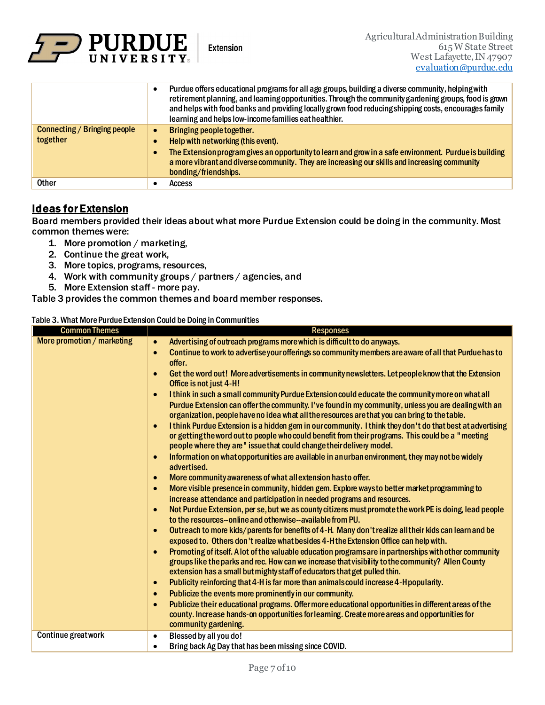

|                              |           | Purdue offers educational programs for all age groups, building a diverse community, helping with<br>retirement planning, and leaming opportunities. Through the community gardening groups, food is grown<br>and helps with food banks and providing locally grown food reducing shipping costs, encourages family<br>learning and helps low-income families eat healthier. |
|------------------------------|-----------|------------------------------------------------------------------------------------------------------------------------------------------------------------------------------------------------------------------------------------------------------------------------------------------------------------------------------------------------------------------------------|
| Connecting / Bringing people |           | Bringing people together.                                                                                                                                                                                                                                                                                                                                                    |
| together                     |           | Help with networking (this event).                                                                                                                                                                                                                                                                                                                                           |
|                              | $\bullet$ | The Extension program gives an opportunity to learn and grow in a safe environment. Purdue is building<br>a more vibrant and diverse community. They are increasing our skills and increasing community<br>bonding/friendships.                                                                                                                                              |
| <b>Other</b>                 |           | <b>Access</b>                                                                                                                                                                                                                                                                                                                                                                |

### Ideas for Extension

Board members provided their ideas about what more Purdue Extension could be doing in the community. Most common themes were:

- 1. More promotion / marketing,
- 2. Continue the great work,
- 3. More topics, programs, resources,
- 4. Work with community groups / partners / agencies, and
- 5. More Extension staff more pay.

Table 3 provides the common themes and board member responses.

#### Table 3. What More Purdue Extension Could be Doing in Communities

| <b>Common Themes</b>       | <b>Responses</b>                                                                                                                                                                                                                                                                                                                                                                                                                                                                                                                                                                                                             |
|----------------------------|------------------------------------------------------------------------------------------------------------------------------------------------------------------------------------------------------------------------------------------------------------------------------------------------------------------------------------------------------------------------------------------------------------------------------------------------------------------------------------------------------------------------------------------------------------------------------------------------------------------------------|
| More promotion / marketing | Advertising of outreach programs more which is difficult to do anyways.<br>$\bullet$                                                                                                                                                                                                                                                                                                                                                                                                                                                                                                                                         |
|                            | Continue to work to advertise your offerings so community members are aware of all that Purdue has to<br>$\bullet$<br>offer.                                                                                                                                                                                                                                                                                                                                                                                                                                                                                                 |
|                            | Get the word out! More advertisements in community newsletters. Let people know that the Extension<br>$\bullet$<br>Office is not just 4-H!                                                                                                                                                                                                                                                                                                                                                                                                                                                                                   |
|                            | I think in such a small community Purdue Extension could educate the community more on what all<br>$\bullet$<br>Purdue Extension can offer the community. I've found in my community, unless you are dealing with an<br>organization, people have no idea what all the resources are that you can bring to the table.<br>I think Purdue Extension is a hidden gem in our community. I think they don't do that best at advertising<br>$\bullet$<br>or getting the word out to people who could benefit from their programs. This could be a "meeting<br>people where they are" issue that could change their delivery model. |
|                            | Information on what opportunities are available in an urban environment, they may not be widely<br>$\bullet$<br>advertised.                                                                                                                                                                                                                                                                                                                                                                                                                                                                                                  |
|                            | More community awareness of what all extension has to offer.<br>$\bullet$                                                                                                                                                                                                                                                                                                                                                                                                                                                                                                                                                    |
|                            | More visible presence in community, hidden gem. Explore ways to better market programming to<br>$\bullet$<br>increase attendance and participation in needed programs and resources.                                                                                                                                                                                                                                                                                                                                                                                                                                         |
|                            | Not Purdue Extension, per se, but we as county citizens must promote the work PE is doing, lead people<br>$\bullet$<br>to the resources-online and otherwise-available from PU.                                                                                                                                                                                                                                                                                                                                                                                                                                              |
|                            | Outreach to more kids/parents for benefits of 4-H. Many don't realize all their kids can learn and be<br>$\bullet$<br>exposed to. Others don't realize what besides 4-Hthe Extension Office can help with.                                                                                                                                                                                                                                                                                                                                                                                                                   |
|                            | Promoting of itself. A lot of the valuable education programs are in partnerships with other community<br>$\bullet$<br>groups like the parks and rec. How can we increase that visibility to the community? Allen County<br>extension has a small but mighty staff of educators that get pulled thin.                                                                                                                                                                                                                                                                                                                        |
|                            | Publicity reinforcing that 4-H is far more than animals could increase 4-H popularity.<br>$\bullet$                                                                                                                                                                                                                                                                                                                                                                                                                                                                                                                          |
|                            | Publicize the events more prominently in our community.<br>$\bullet$                                                                                                                                                                                                                                                                                                                                                                                                                                                                                                                                                         |
|                            | Publicize their educational programs. Offer more educational opportunities in different areas of the<br>$\bullet$<br>county. Increase hands-on opportunities for leaming. Create more areas and opportunities for<br>community gardening.                                                                                                                                                                                                                                                                                                                                                                                    |
| Continue great work        | Blessed by all you do!<br>$\bullet$<br>Bring back Ag Day that has been missing since COVID.<br>$\bullet$                                                                                                                                                                                                                                                                                                                                                                                                                                                                                                                     |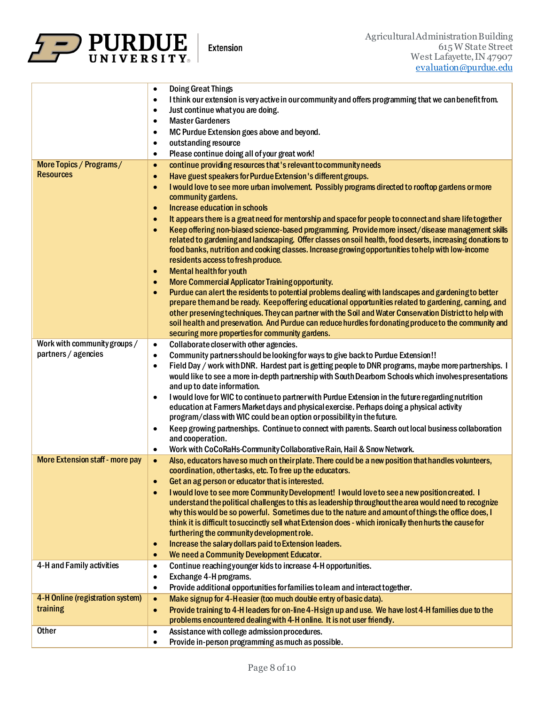

÷,

|                                  | <b>Doing Great Things</b><br>$\bullet$                                                                               |
|----------------------------------|----------------------------------------------------------------------------------------------------------------------|
|                                  | I think our extension is very active in our community and offers programming that we can benefit from.<br>$\bullet$  |
|                                  | Just continue what you are doing.<br>٠                                                                               |
|                                  | <b>Master Gardeners</b><br>$\bullet$                                                                                 |
|                                  | MC Purdue Extension goes above and beyond.<br>$\bullet$                                                              |
|                                  | outstanding resource<br>$\bullet$                                                                                    |
|                                  | Please continue doing all of your great work!<br>٠                                                                   |
| More Topics / Programs/          | continue providing resources that's relevant to community needs                                                      |
| <b>Resources</b>                 | $\bullet$                                                                                                            |
|                                  | Have guest speakers for Purdue Extension's different groups.<br>$\bullet$                                            |
|                                  | I would love to see more urban involvement. Possibly programs directed to rooftop gardens or more<br>$\bullet$       |
|                                  | community gardens.                                                                                                   |
|                                  | <b>Increase education in schools</b><br>$\bullet$                                                                    |
|                                  | It appears there is a great need for mentorship and space for people to connect and share life together<br>$\bullet$ |
|                                  | Keep offering non-biased science-based programming. Provide more insect/disease management skills<br>$\bullet$       |
|                                  | related to gardening and landscaping. Offer classes on soil health, food deserts, increasing donations to            |
|                                  | food banks, nutrition and cooking classes. Increase growing opportunities to help with low-income                    |
|                                  | residents access to fresh produce.                                                                                   |
|                                  | <b>Mental health for youth</b><br>$\bullet$                                                                          |
|                                  | <b>More Commercial Applicator Training opportunity.</b><br>$\bullet$                                                 |
|                                  | Purdue can alert the residents to potential problems dealing with landscapes and gardening to better<br>$\bullet$    |
|                                  | prepare them and be ready. Keep offering educational opportunities related to gardening, canning, and                |
|                                  | other preserving techniques. They can partner with the Soil and Water Conservation District to help with             |
|                                  | soil health and preservation. And Purdue can reduce hurdles for donating produce to the community and                |
|                                  | securing more properties for community gardens.                                                                      |
| Work with community groups /     | Collaborate closer with other agencies.<br>$\bullet$                                                                 |
| partners / agencies              | Community partners should be looking for ways to give back to Purdue Extension!!<br>$\bullet$                        |
|                                  | Field Day / work with DNR. Hardest part is getting people to DNR programs, maybe more partnerships. I<br>$\bullet$   |
|                                  | would like to see a more in-depth partnership with South Dearbom Schools which involves presentations                |
|                                  | and up to date information.                                                                                          |
|                                  | I would love for WIC to continue to partner with Purdue Extension in the future regarding nutrition<br>$\bullet$     |
|                                  | education at Farmers Market days and physical exercise. Perhaps doing a physical activity                            |
|                                  | program/class with WIC could be an option or possibility in the future.                                              |
|                                  | Keep growing partnerships. Continue to connect with parents. Search out local business collaboration<br>$\bullet$    |
|                                  | and cooperation.                                                                                                     |
|                                  | Work with CoCoRaHs-Community Collaborative Rain, Hail & Snow Network.<br>$\bullet$                                   |
| More Extension staff - more pay  | Also, educators have so much on their plate. There could be a new position that handles volunteers,<br>$\bullet$     |
|                                  | coordination, other tasks, etc. To free up the educators.                                                            |
|                                  | Get an ag person or educator that is interested.<br>$\bullet$                                                        |
|                                  | I would love to see more Community Development! I would love to see a new position created. I                        |
|                                  | $\bullet$<br>understand the political challenges to this as leadership throughout the area would need to recognize   |
|                                  | why this would be so powerful. Sometimes due to the nature and amount of things the office does, I                   |
|                                  | think it is difficult to succinctly sell what Extension does - which ironically then hurts the cause for             |
|                                  | furthering the community development role.                                                                           |
|                                  | Increase the salary dollars paid to Extension leaders.<br>$\bullet$                                                  |
|                                  | We need a Community Development Educator.<br>$\bullet$                                                               |
| 4-H and Family activities        |                                                                                                                      |
|                                  | Continue reaching younger kids to increase 4-H opportunities.<br>$\bullet$                                           |
|                                  | Exchange 4-H programs.<br>$\bullet$                                                                                  |
|                                  | Provide additional opportunities for families to leam and interact together.<br>$\bullet$                            |
| 4-H Online (registration system) | Make signup for 4-Heasier (too much double entry of basic data).<br>$\bullet$                                        |
| training                         | Provide training to 4-H leaders for on-line 4-H sign up and use. We have lost 4-H families due to the<br>$\bullet$   |
|                                  | problems encountered dealing with 4-H online. It is not user friendly.                                               |
| <b>Other</b>                     | Assistance with college admission procedures.<br>$\bullet$                                                           |
|                                  | Provide in-person programming as much as possible.<br>$\bullet$                                                      |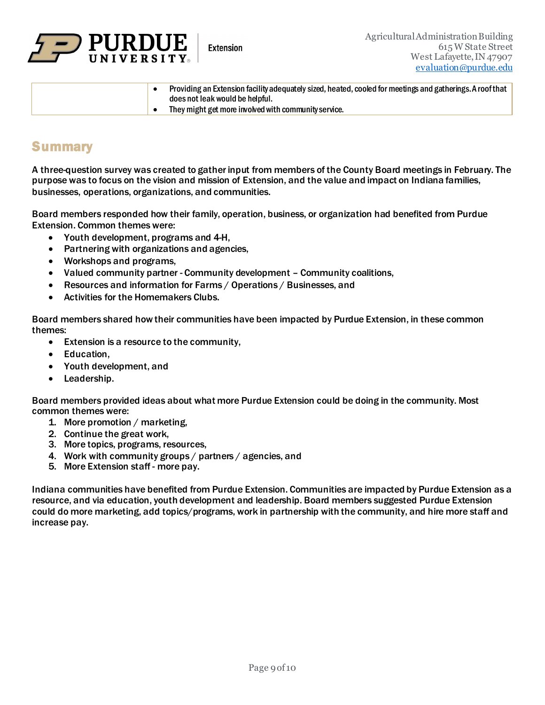

| Providing an Extension facility adequately sized, heated, cooled for meetings and gatherings. A roof that<br>does not leak would be helpful. |
|----------------------------------------------------------------------------------------------------------------------------------------------|
| They might get more involved with community service.                                                                                         |

## **Summary**

A three-question survey was created to gather input from members of the County Board meetings in February. The purpose was to focus on the vision and mission of Extension, and the value and impact on Indiana families, businesses, operations, organizations, and communities.

Board members responded how their family, operation, business, or organization had benefited from Purdue Extension. Common themes were:

- Youth development, programs and 4-H,
- Partnering with organizations and agencies,
- Workshops and programs,
- Valued community partner Community development Community coalitions,
- Resources and information for Farms / Operations / Businesses, and
- Activities for the Homemakers Clubs.

Board members shared how their communities have been impacted by Purdue Extension, in these common themes:

- Extension is a resource to the community,
- Education,
- Youth development, and
- Leadership.

Board members provided ideas about what more Purdue Extension could be doing in the community. Most common themes were:

- 1. More promotion / marketing,
- 2. Continue the great work,
- 3. More topics, programs, resources,
- 4. Work with community groups / partners / agencies, and
- 5. More Extension staff more pay.

Indiana communities have benefited from Purdue Extension. Communities are impacted by Purdue Extension as a resource, and via education, youth development and leadership. Board members suggested Purdue Extension could do more marketing, add topics/programs, work in partnership with the community, and hire more staff and increase pay.